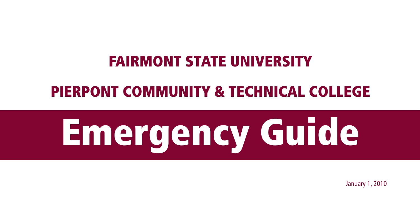### Fairmont State University

### Pierpont Community & Technical College

# Emergency Guide

January 1, 2010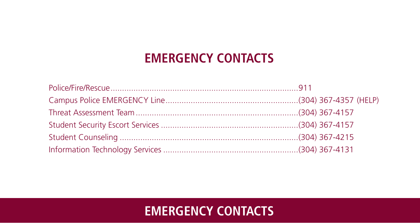### **Emergency Contacts**

### **Emergency Contacts**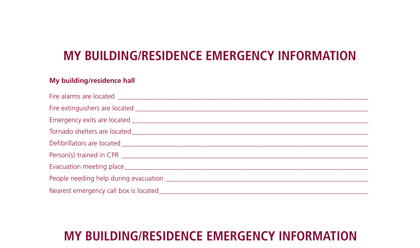### **MY BUILDING/RESIDENCE EMERGENCY INFORMATION**

#### **My building/residence hall**

### **MY BUILDING/RESIDENCE EMERGENCY INFORMATION**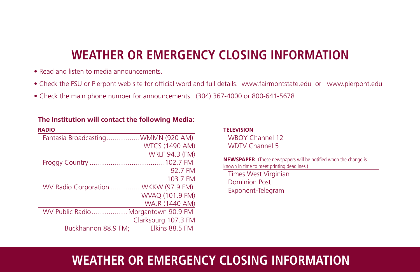### **WEATHER or emergency CLOSING INFORMATION**

- Read and listen to media announcements.
- Check the FSU or Pierpont web site for official word and full details. www.fairmontstate.edu or www.pierpont.edu
- Check the main phone number for announcements (304) 367-4000 or 800-641-5678

| <b>RADIO</b>                        |                       |
|-------------------------------------|-----------------------|
| Fantasia Broadcasting WMMN (920 AM) |                       |
|                                     | <b>WTCS (1490 AM)</b> |
|                                     | <b>WRLF 94.3 (FM)</b> |
|                                     |                       |
|                                     | 92.7 FM               |
|                                     | 103.7 FM              |
| WV Radio Corporation WKKW (97.9 FM) |                       |
|                                     | WVAQ (101.9 FM)       |
|                                     | <b>WAJR (1440 AM)</b> |
| WV Public RadioMorgantown 90.9 FM   |                       |
|                                     | Clarksburg 107.3 FM   |
| Buckhannon 88.9 FM;                 | Elkins 88.5 FM        |

#### **The Institution will contact the following Media:**

| <b>TELEVISION</b>                                                                                                    |
|----------------------------------------------------------------------------------------------------------------------|
| WBOY Channel 12                                                                                                      |
| <b>WDTV Channel 5</b>                                                                                                |
| <b>NEWSPAPER</b> (These newspapers will be notified when the change is<br>known in time to meet printing deadlines.) |
| Times West Virginian                                                                                                 |
| Dominion Post                                                                                                        |
| Exponent-Telegram                                                                                                    |
|                                                                                                                      |
|                                                                                                                      |
|                                                                                                                      |

### **WEATHER or emergency CLOSING INFORMATION**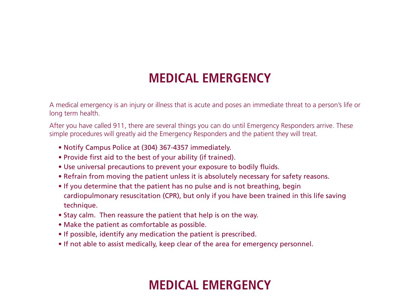### **MEDICAL EMERGENCY**

A medical emergency is an injury or illness that is acute and poses an immediate threat to a person's life or long term health.

After you have called 911, there are several things you can do until Emergency Responders arrive. These simple procedures will greatly aid the Emergency Responders and the patient they will treat.

- Notify Campus Police at (304) 367-4357 immediately.
- Provide first aid to the best of your ability (if trained).
- Use universal precautions to prevent your exposure to bodily fluids.
- Refrain from moving the patient unless it is absolutely necessary for safety reasons.
- If you determine that the patient has no pulse and is not breathing, begin cardiopulmonary resuscitation (CPR), but only if you have been trained in this life saving technique.
- Stay calm. Then reassure the patient that help is on the way.
- Make the patient as comfortable as possible.
- If possible, identify any medication the patient is prescribed.
- If not able to assist medically, keep clear of the area for emergency personnel.

### **MEDICAL EMERGENCY**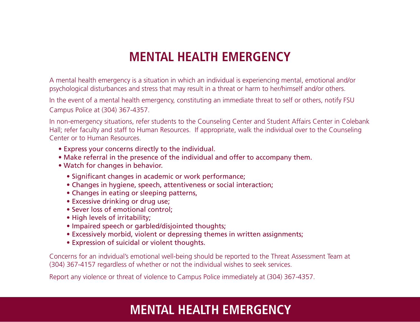### **Mental Health Emergency**

A mental health emergency is a situation in which an individual is experiencing mental, emotional and/or psychological disturbances and stress that may result in a threat or harm to her/himself and/or others.

In the event of a mental health emergency, constituting an immediate threat to self or others, notify FSU Campus Police at (304) 367-4357.

In non-emergency situations, refer students to the Counseling Center and Student Affairs Center in Colebank Hall; refer faculty and staff to Human Resources. If appropriate, walk the individual over to the Counseling Center or to Human Resources.

- Express your concerns directly to the individual.
- Make referral in the presence of the individual and offer to accompany them.
- Watch for changes in behavior.
	- Significant changes in academic or work performance;
	- Changes in hygiene, speech, attentiveness or social interaction;
	- Changes in eating or sleeping patterns,
	- Excessive drinking or drug use;
	- Sever loss of emotional control;
	- High levels of irritability:
	- Impaired speech or garbled/disjointed thoughts;
	- Excessively morbid, violent or depressing themes in written assignments;
	- Expression of suicidal or violent thoughts.

Concerns for an indvidual's emotional well-being should be reported to the Threat Assessment Team at (304) 367-4157 regardless of whether or not the individual wishes to seek services.

Report any violence or threat of violence to Campus Police immediately at (304) 367-4357.

### **Mental Health Emergency**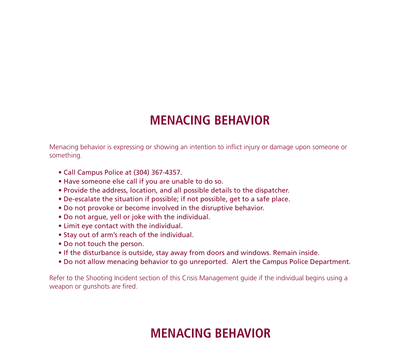### **Menacing Behavior**

Menacing behavior is expressing or showing an intention to inflict injury or damage upon someone or something.

- Call Campus Police at (304) 367-4357.
- Have someone else call if you are unable to do so.
- Provide the address, location, and all possible details to the dispatcher.
- De-escalate the situation if possible; if not possible, get to a safe place.
- Do not provoke or become involved in the disruptive behavior.
- Do not argue, yell or joke with the individual.
- Limit eye contact with the individual.
- Stay out of arm's reach of the individual.
- Do not touch the person.
- If the disturbance is outside, stay away from doors and windows. Remain inside.
- Do not allow menacing behavior to go unreported. Alert the Campus Police Department.

Refer to the Shooting Incident section of this Crisis Management guide if the individual begins using a weapon or gunshots are fired.

### **Menacing Behavior**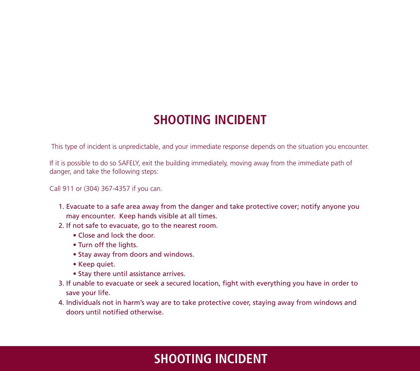### **Shooting incident**

This type of incident is unpredictable, and your immediate response depends on the situation you encounter.

If it is possible to do so SAFELY, exit the building immediately, moving away from the immediate path of danger, and take the following steps:

#### Call 911 or (304) 367-4357 if you can.

- 1. Evacuate to a safe area away from the danger and take protective cover; notify anyone you may encounter. Keep hands visible at all times.
- 2. If not safe to evacuate, go to the nearest room.
	- Close and lock the door.
	- Turn off the lights.
	- Stay away from doors and windows.
	- Keep quiet.
	- Stay there until assistance arrives.
- 3. If unable to evacuate or seek a secured location, fight with everything you have in order to save your life.
- 4. Individuals not in harm's way are to take protective cover, staying away from windows and doors until notified otherwise.

### **Shooting incident**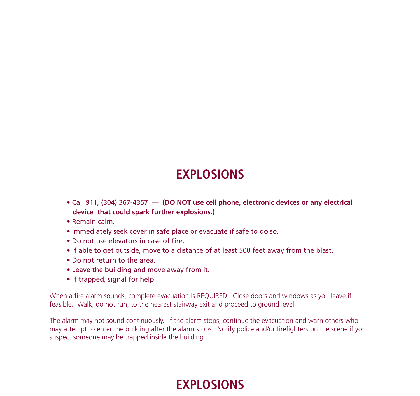### **Explosions**

- Call 911, (304) 367-4357 (DO NOT use cell phone, electronic devices or any electrical **device that could spark further explosions.)**
- Remain calm.
- Immediately seek cover in safe place or evacuate if safe to do so.
- Do not use elevators in case of fire.
- If able to get outside, move to a distance of at least 500 feet away from the blast.
- Do not return to the area.
- Leave the building and move away from it.
- If trapped, signal for help.

When a fire alarm sounds, complete evacuation is REQUIRED. Close doors and windows as you leave if feasible. Walk, do not run, to the nearest stairway exit and proceed to ground level.

The alarm may not sound continuously. If the alarm stops, continue the evacuation and warn others who may attempt to enter the building after the alarm stops. Notify police and/or firefighters on the scene if you suspect someone may be trapped inside the building.

### **Explosions**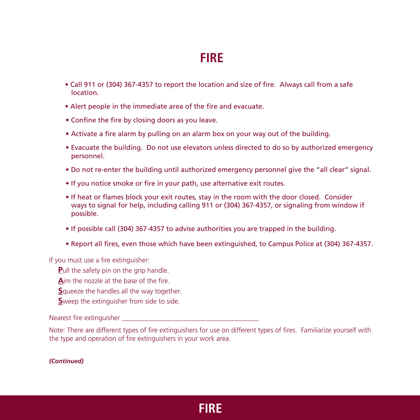### **Fire**

- Call 911 or (304) 367-4357 to report the location and size of fire. Always call from a safe location.
- Alert people in the immediate area of the fire and evacuate.
- Confine the fire by closing doors as you leave.
- Activate a fire alarm by pulling on an alarm box on your way out of the building.
- Evacuate the building. Do not use elevators unless directed to do so by authorized emergency personnel.
- Do not re-enter the building until authorized emergency personnel give the "all clear" signal.
- If you notice smoke or fire in your path, use alternative exit routes.
- If heat or flames block your exit routes, stay in the room with the door closed. Consider ways to signal for help, including calling 911 or (304) 367-4357, or signaling from window if possible.
- If possible call (304) 367-4357 to advise authorities you are trapped in the building.
- Report all fires, even those which have been extinguished, to Campus Police at (304) 367-4357.

If you must use a fire extinguisher:

- **Pull the safety pin on the grip handle.**
- **A**im the nozzle at the base of the fire.
- **S**queeze the handles all the way together.
- **S**weep the extinguisher from side to side.

Nearest fire extinguisher

Note: There are different types of fire extinguishers for use on different types of fires. Familiarize yourself with the type and operation of fire extinguishers in your work area.

*(Continued)*

### **Fire**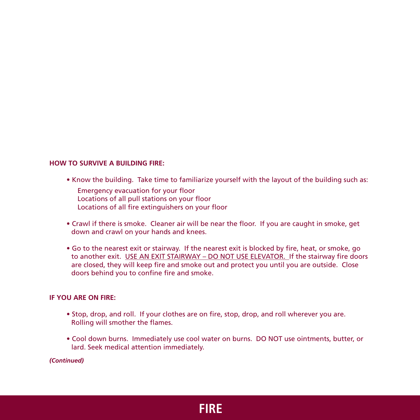#### **HOW TO SURVIVE A BUILDING FIRE:**

- Know the building. Take time to familiarize yourself with the layout of the building such as:
	- Emergency evacuation for your floor Locations of all pull stations on your floor Locations of all fire extinguishers on your floor
- Crawl if there is smoke. Cleaner air will be near the floor. If you are caught in smoke, get down and crawl on your hands and knees.
- Go to the nearest exit or stairway. If the nearest exit is blocked by fire, heat, or smoke, go to another exit. USE AN EXIT STAIRWAY – DO NOT USE ELEVATOR. If the stairway fire doors are closed, they will keep fire and smoke out and protect you until you are outside. Close doors behind you to confine fire and smoke.

#### **IF YOU ARE ON FIRE:**

- Stop, drop, and roll. If your clothes are on fire, stop, drop, and roll wherever you are. Rolling will smother the flames.
- Cool down burns. Immediately use cool water on burns. DO NOT use ointments, butter, or lard. Seek medical attention immediately.

*(Continued)*

### **Fire**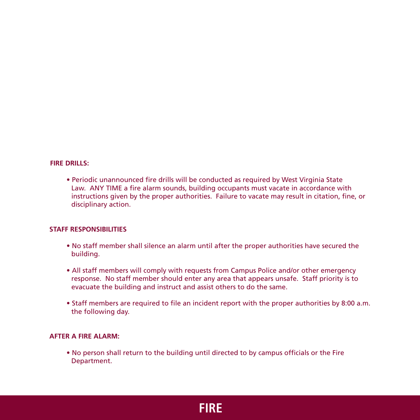#### **FIRE DRILLS:**

• Periodic unannounced fire drills will be conducted as required by West Virginia State Law. ANY TIME a fire alarm sounds, building occupants must vacate in accordance with instructions given by the proper authorities. Failure to vacate may result in citation, fine, or disciplinary action.

#### **STAFF RESPONSIBILITIES**

- No staff member shall silence an alarm until after the proper authorities have secured the building.
- All staff members will comply with requests from Campus Police and/or other emergency response. No staff member should enter any area that appears unsafe. Staff priority is to evacuate the building and instruct and assist others to do the same.
- Staff members are required to file an incident report with the proper authorities by 8:00 a.m. the following day.

#### **AFTER A FIRE ALARM:**

• No person shall return to the building until directed to by campus officials or the Fire Department.

**Fire**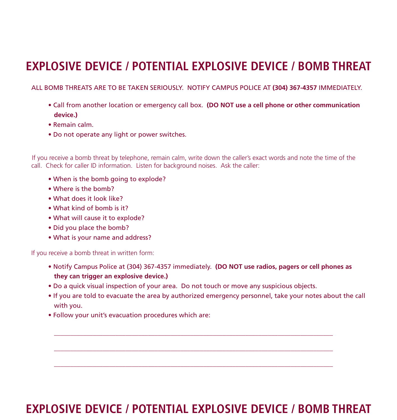### **Explosive Device / Potential explosive device / bomb threat**

ALL BOMB THREATS ARE TO BE TAKEN SERIOUSLY. NOTIFY CAMPUS POLICE AT **(304) 367-4357** IMMEDIATELY.

- Call from another location or emergency call box. **(DO NOT use a cell phone or other communication device.)**
- Remain calm.
- Do not operate any light or power switches.

If you receive a bomb threat by telephone, remain calm, write down the caller's exact words and note the time of the call. Check for caller ID information. Listen for background noises. Ask the caller:

- When is the bomb going to explode?
- Where is the bomb?
- What does it look like?
- What kind of bomb is it?
- What will cause it to explode?
- Did you place the bomb?
- What is your name and address?

If you receive a bomb threat in written form:

• Notify Campus Police at (304) 367-4357 immediately. **(DO NOT use radios, pagers or cell phones as they can trigger an explosive device.)**

 $\_$  , and the set of the set of the set of the set of the set of the set of the set of the set of the set of the set of the set of the set of the set of the set of the set of the set of the set of the set of the set of th

 $\_$  , and the set of the set of the set of the set of the set of the set of the set of the set of the set of the set of the set of the set of the set of the set of the set of the set of the set of the set of the set of th

 $\_$  , and the set of the set of the set of the set of the set of the set of the set of the set of the set of the set of the set of the set of the set of the set of the set of the set of the set of the set of the set of th

- Do a quick visual inspection of your area. Do not touch or move any suspicious objects.
- If you are told to evacuate the area by authorized emergency personnel, take your notes about the call with you.
- Follow your unit's evacuation procedures which are:

### **Explosive Device / Potential explosive device / bomb threat**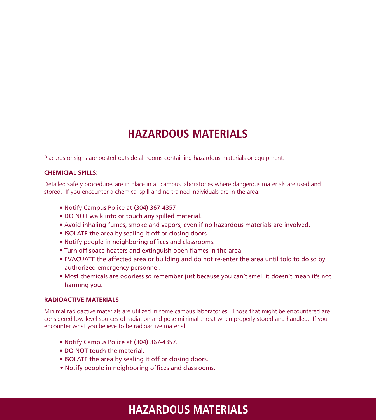### **Hazardous materials**

Placards or signs are posted outside all rooms containing hazardous materials or equipment.

#### **CHEMICIAL SPILLS:**

Detailed safety procedures are in place in all campus laboratories where dangerous materials are used and stored. If you encounter a chemical spill and no trained individuals are in the area:

- Notify Campus Police at (304) 367-4357
- DO NOT walk into or touch any spilled material.
- Avoid inhaling fumes, smoke and vapors, even if no hazardous materials are involved.
- ISOLATE the area by sealing it off or closing doors.
- Notify people in neighboring offices and classrooms.
- Turn off space heaters and extinguish open flames in the area.
- EVACUATE the affected area or building and do not re-enter the area until told to do so by authorized emergency personnel.
- Most chemicals are odorless so remember just because you can't smell it doesn't mean it's not harming you.

#### **RADIOACTIVE MATERIALS**

Minimal radioactive materials are utilized in some campus laboratories. Those that might be encountered are considered low-level sources of radiation and pose minimal threat when properly stored and handled. If you encounter what you believe to be radioactive material:

- Notify Campus Police at (304) 367-4357.
- DO NOT touch the material.
- ISOLATE the area by sealing it off or closing doors.
- Notify people in neighboring offices and classrooms.

### **Hazardous materials**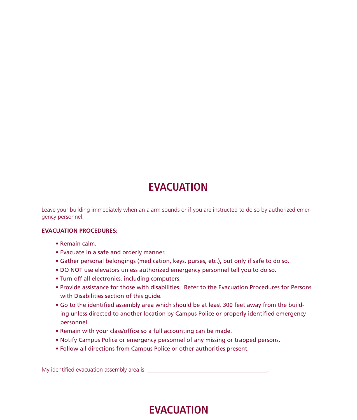### **Evacuation**

Leave your building immediately when an alarm sounds or if you are instructed to do so by authorized emergency personnel.

#### **EVACUATION PROCEDURES:**

- Remain calm.
- Evacuate in a safe and orderly manner.
- Gather personal belongings (medication, keys, purses, etc.), but only if safe to do so.
- DO NOT use elevators unless authorized emergency personnel tell you to do so.
- Turn off all electronics, including computers.
- Provide assistance for those with disabilities. Refer to the Evacuation Procedures for Persons with Disabilities section of this guide.
- Go to the identified assembly area which should be at least 300 feet away from the building unless directed to another location by Campus Police or properly identified emergency personnel.
- Remain with your class/office so a full accounting can be made.
- Notify Campus Police or emergency personnel of any missing or trapped persons.
- Follow all directions from Campus Police or other authorities present.

My identified evacuation assembly area is: \_\_\_\_\_\_\_\_\_\_\_\_\_\_\_\_\_\_\_\_\_\_\_\_\_\_\_\_\_\_\_\_\_\_\_\_\_\_\_\_\_.

### **Evacuation**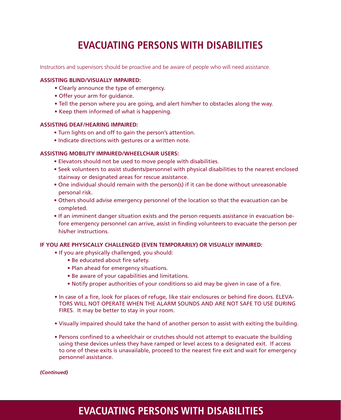### **Evacuating persons with disabilities**

Instructors and supervisors should be proactive and be aware of people who will need assistance.

#### **ASSISTING BLIND/VISUALLY IMPAIRED:**

- Clearly announce the type of emergency.
- Offer your arm for guidance.
- Tell the person where you are going, and alert him/her to obstacles along the way.
- Keep them informed of what is happening.

#### **ASSISTING DEAF/HEARING IMPAIRED:**

- Turn lights on and off to gain the person's attention.
- Indicate directions with gestures or a written note.

#### **ASSISTING MOBILITY IMPAIRED/WHEELCHAIR USERS:**

- Elevators should not be used to move people with disabilities.
- Seek volunteers to assist students/personnel with physical disabilities to the nearest enclosed stairway or designated areas for rescue assistance.
- One individual should remain with the person(s) if it can be done without unreasonable personal risk.
- Others should advise emergency personnel of the location so that the evacuation can be completed.
- If an imminent danger situation exists and the person requests assistance in evacuation before emergency personnel can arrive, assist in finding volunteers to evacuate the person per his/her instructions.

#### **IF YOU ARE PHYSICALLY CHALLENGED (EVEN TEMPORARILY) OR VISUALLY IMPAIRED:**

- If you are physically challenged, you should:
	- Be educated about fire safety.
	- Plan ahead for emergency situations.
	- Be aware of your capabilities and limitations.
	- Notify proper authorities of your conditions so aid may be given in case of a fire.
- In case of a fire, look for places of refuge, like stair enclosures or behind fire doors. ELEVA-TORS WILL NOT OPERATE WHEN THE ALARM SOUNDS AND ARE NOT SAFE TO USE DURING FIRES. It may be better to stay in your room.
- Visually impaired should take the hand of another person to assist with exiting the building.
- Persons confined to a wheelchair or crutches should not attempt to evacuate the building using these devices unless they have ramped or level access to a designated exit. If access to one of these exits is unavailable, proceed to the nearest fire exit and wait for emergency personnel assistance.

*(Continued)*

### **Evacuating persons with disabilities**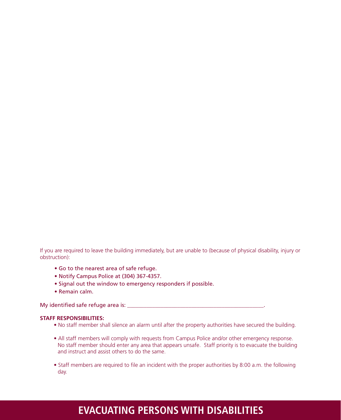If you are required to leave the building immediately, but are unable to (because of physical disability, injury or obstruction):

- Go to the nearest area of safe refuge.
- Notify Campus Police at (304) 367-4357.
- Signal out the window to emergency responders if possible.
- Remain calm.

My identified safe refuge area is: \_\_\_\_\_\_\_\_\_\_\_\_\_\_\_\_\_\_\_\_\_\_\_\_\_\_\_\_\_\_\_\_\_\_\_\_\_\_\_\_\_\_\_\_\_\_\_\_\_.

#### **STAFF RESPONSIBILITIES:**

- No staff member shall silence an alarm until after the property authorities have secured the building.
- All staff members will comply with requests from Campus Police and/or other emergency response. No staff member should enter any area that appears unsafe. Staff priority is to evacuate the building and instruct and assist others to do the same.
- Staff members are required to file an incident with the proper authorities by 8:00 a.m. the following day.

### **Evacuating persons with disabilities**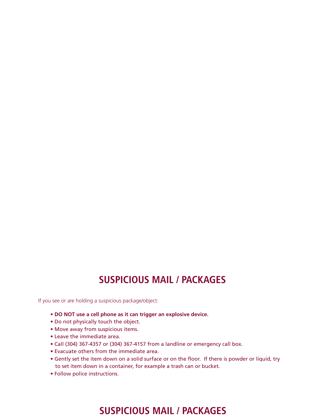### **Suspicious mail / packages**

If you see or are holding a suspicious package/object:

- **Do not use a cell phone as it can trigger an explosive device.**
- Do not physically touch the object.
- Move away from suspicious items.
- Leave the immediate area.
- Call (304) 367-4357 or (304) 367-4157 from a landline or emergency call box.
- Evacuate others from the immediate area.
- Gently set the item down on a solid surface or on the floor. If there is powder or liquid, try to set item down in a container, for example a trash can or bucket.
- Follow police instructions.

### **Suspicious mail / packages**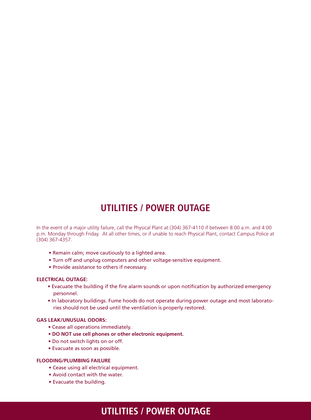### **Utilities / power outage**

In the event of a major utility failure, call the Physical Plant at (304) 367-4110 if between 8:00 a.m. and 4:00 p.m. Monday through Friday. At all other times, or if unable to reach Physical Plant, contact Campus Police at (304) 367-4357.

- Remain calm; move cautiously to a lighted area.
- Turn off and unplug computers and other voltage-sensitive equipment.
- Provide assistance to others if necessary.

#### **ELECTRICAL OUTAGE:**

- Evacuate the building if the fire alarm sounds or upon notification by authorized emergency personnel.
- In laboratory buildings. Fume hoods do not operate during power outage and most laboratories should not be used until the ventilation is properly restored.

#### **GAS LEAK/UNUSUAL ODORS:**

- Cease all operations immediately.
- **Do not use cell phones or other electronic equipment.**
- Do not switch lights on or off.
- Evacuate as soon as possible.

#### **FLOODING/PLUMBING FAILURE**

- Cease using all electrical equipment.
- Avoid contact with the water.
- Evacuate the building.

### **Utilities / power outage**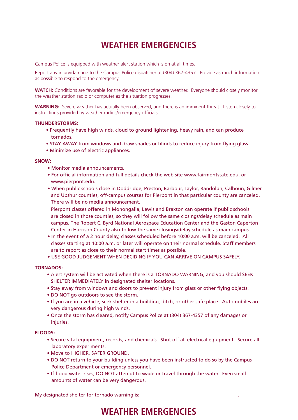### **Weather emergencies**

Campus Police is equipped with weather alert station which is on at all times.

Report any injury/damage to the Campus Police dispatcher at (304) 367-4357. Provide as much information as possible to respond to the emergency.

WATCH: Conditions are favorable for the development of severe weather. Everyone should closely monitor the weather station radio or computer as the situation progresses.

**WARNING:** Severe weather has actually been observed, and there is an imminent threat. Listen closely to instructions provided by weather radios/emergency officials.

#### **THUNDERSTORMS:**

- Frequently have high winds, cloud to ground lightening, heavy rain, and can produce tornados.
- STAY AWAY from windows and draw shades or blinds to reduce injury from flying glass.
- Minimize use of electric appliances.

#### **SNOW:**

- Monitor media announcements.
- For official information and full details check the web site www.fairmontstate.edu. or www.pierpont.edu.
- When public schools close in Doddridge, Preston, Barbour, Taylor, Randolph, Calhoun, Gilmer and Upshur counties, off-campus courses for Pierpont in that particular county are canceled. There will be no media announcement.

Pierpont classes offered in Monongalia, Lewis and Braxton can operate if public schools are closed in those counties, so they will follow the same closings/delay schedule as main campus. The Robert C. Byrd National Aerospace Education Center and the Gaston Caperton Center in Harrison County also follow the same closings/delay schedule as main campus.

- In the event of a 2 hour delay, classes scheduled before 10:00 a.m. will be canceled. All classes starting at 10:00 a.m. or later will operate on their normal schedule. Staff members are to report as close to their normal start times as possible.
- USE GOOD JUDGEMENT WHEN DECIDING IF YOU CAN ARRIVE ON CAMPUS SAFELY.

#### **TORNADOS:**

- Alert system will be activated when there is a TORNADO WARNING, and you should SEEK SHELTER IMMEDIATELY in designated shelter locations.
- Stay away from windows and doors to prevent injury from glass or other flying objects.
- DO NOT go outdoors to see the storm.
- If you are in a vehicle, seek shelter in a building, ditch, or other safe place. Automobiles are very dangerous during high winds.
- Once the storm has cleared, notify Campus Police at (304) 367-4357 of any damages or injuries.

#### **FLOODS:**

- Secure vital equipment, records, and chemicals. Shut off all electrical equipment. Secure all laboratory experiments.
- Move to HIGHER, SAFER GROUND.
- DO NOT return to your building unless you have been instructed to do so by the Campus Police Department or emergency personnel.
- If flood water rises, DO NOT attempt to wade or travel through the water. Even small amounts of water can be very dangerous.

My designated shelter for tornado warning is: \_\_\_\_\_\_\_\_\_\_\_\_\_\_\_\_\_\_\_\_\_\_\_\_\_\_\_\_\_\_\_\_\_\_

### **Weather emergencies**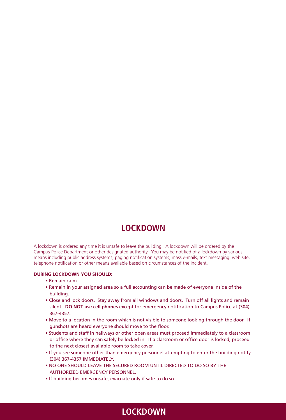### **Lockdown**

A lockdown is ordered any time it is unsafe to leave the building. A lockdown will be ordered by the Campus Police Department or other designated authority. You may be notified of a lockdown by various means including public address systems, paging notification systems, mass e-mails, text messaging, web site, telephone notification or other means available based on circumstances of the incident.

#### **DURING LOCKDOWN YOU SHOULD:**

- Remain calm.
- Remain in your assigned area so a full accounting can be made of everyone inside of the building.
- Close and lock doors. Stay away from all windows and doors. Turn off all lights and remain silent. **Do not use cell phones** except for emergency notification to Campus Police at (304) 367-4357.
- Move to a location in the room which is not visible to someone looking through the door. If gunshots are heard everyone should move to the floor.
- Students and staff in hallways or other open areas must proceed immediately to a classroom or office where they can safely be locked in. If a classroom or office door is locked, proceed to the next closest available room to take cover.
- If you see someone other than emergency personnel attempting to enter the building notify (304) 367-4357 IMMEDIATELY.
- NO ONE SHOULD LEAVE THE SECURED ROOM UNTIL DIRECTED TO DO SO BY THE AUTHORIZED EMERGENCY PERSONNEL.
- If building becomes unsafe, evacuate only if safe to do so.

### **Lockdown**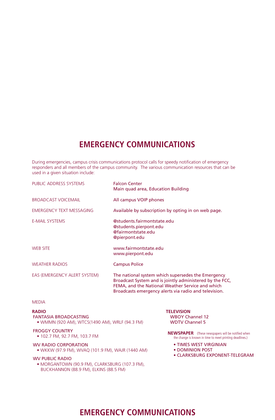### **Emergency communications**

During emergencies, campus crisis communications protocol calls for speedy notification of emergency responders and all members of the campus community. The various communication resources that can be used in a given situation include:

| PUBLIC ADDRESS SYSTEMS       | <b>Falcon Center</b><br>Main quad area, Education Building                                                                                                                                                                  |
|------------------------------|-----------------------------------------------------------------------------------------------------------------------------------------------------------------------------------------------------------------------------|
| <b>BROADCAST VOICEMAIL</b>   | All campus VOIP phones                                                                                                                                                                                                      |
| EMERGENCY TEXT MESSAGING     | Available by subscription by opting in on web page.                                                                                                                                                                         |
| <b>E-MAIL SYSTEMS</b>        | @students.fairmontstate.edu<br>@students.pierpont.edu<br>@fairmontstate.edu<br>@pierpont.edu                                                                                                                                |
| <b>WEB SITE</b>              | www.fairmontstate.edu<br>www.pierpont.edu                                                                                                                                                                                   |
| <b>WEATHER RADIOS</b>        | <b>Campus Police</b>                                                                                                                                                                                                        |
| EAS (EMERGENCY ALERT SYSTEM) | The national system which supersedes the Emergency<br>Broadcast System and is jointly administered by the FCC,<br>FEMA, and the National Weather Service and which<br>Broadcasts emergency alerts via radio and television. |

#### MEDIA

**Radio** FANTASIA BROADCASTING • WMMN (920 AM), WTCS(1490 AM), WRLF (94.3 FM)

#### FROGGY COUNTRY

 • 102.7 FM, 92.7 FM, 103.7 FM

#### WV RADIO CORPORATION • WKKW (97.9 FM), WVAQ (101.9 FM), WAJR (1440 AM)

WV Public Radio

 • mORGANTOWN (90.9 fm), clarksburg (107.3 fm), buckhannon (88.9 fm), elkins (88.5 fm)

**Television** WBOY Channel 12 WDTV Channel 5

- **NEWSPAPER** (These newspapers will be notified when the change is known in time to meet printing deadlines.)
	- TIMES West Virginian
	- DOMINION POST
	- CLARKSBURG EXPONENT-TELEGRAM

### **Emergency communications**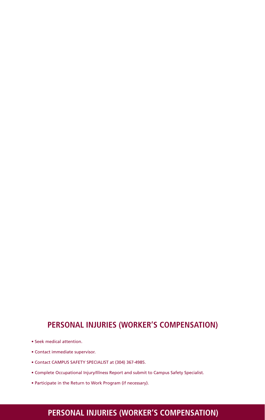### **Personal injuries (worker's compensation)**

- Seek medical attention.
- Contact immediate supervisor.
- Contact CAMPUS SAFETY SPECIALIST at (304) 367-4985.
- Complete Occupational Injury/Illness Report and submit to Campus Safety Specialist.
- Participate in the Return to Work Program (if necessary).

### **Personal injuries (worker's compensation)**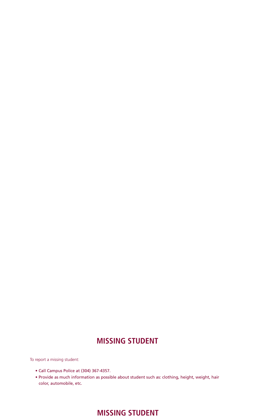### **Missing Student**

To report a missing student:

- Call Campus Police at (304) 367-4357.
- Provide as much information as possible about student such as: clothing, height, weight, hair color, automobile, etc.

### **Missing Student**